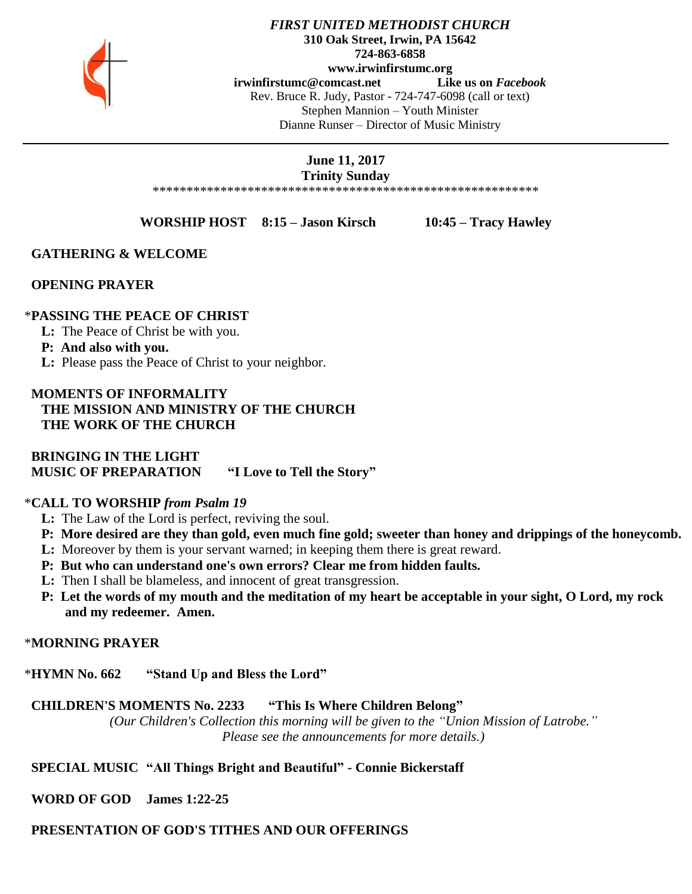

#### *FIRST UNITED METHODIST CHURCH* **310 Oak Street, Irwin, PA 15642 724-863-6858 www.irwinfirstumc.org [irwinfirstumc@comcast.net](mailto:irwinfirstumc@comcast.net) Like us on** *Facebook* Rev. Bruce R. Judy, Pastor - 724-747-6098 (call or text) Stephen Mannion – Youth Minister Dianne Runser – Director of Music Ministry

#### **June 11, 2017 Trinity Sunday**

\*\*\*\*\*\*\*\*\*\*\*\*\*\*\*\*\*\*\*\*\*\*\*\*\*\*\*\*\*\*\*\*\*\*\*\*\*\*\*\*\*\*\*\*\*\*\*\*\*\*\*\*\*\*\*\*\*

**WORSHIP HOST 8:15 – Jason Kirsch 10:45 – Tracy Hawley**

## **GATHERING & WELCOME**

## **OPENING PRAYER**

### \***PASSING THE PEACE OF CHRIST**

- **L:** The Peace of Christ be with you.
- **P: And also with you.**
- **L:** Please pass the Peace of Christ to your neighbor.

## **MOMENTS OF INFORMALITY THE MISSION AND MINISTRY OF THE CHURCH THE WORK OF THE CHURCH**

 **BRINGING IN THE LIGHT MUSIC OF PREPARATION "I Love to Tell the Story"**

## \***CALL TO WORSHIP** *from Psalm 19*

- **L:** The Law of the Lord is perfect, reviving the soul.
- **P: More desired are they than gold, even much fine gold; sweeter than honey and drippings of the honeycomb.**
- **L:** Moreover by them is your servant warned; in keeping them there is great reward.
- **P: But who can understand one's own errors? Clear me from hidden faults.**
- **L:** Then I shall be blameless, and innocent of great transgression.
- **P: Let the words of my mouth and the meditation of my heart be acceptable in your sight, O Lord, my rock and my redeemer. Amen.**

## \***MORNING PRAYER**

\***HYMN No. 662 "Stand Up and Bless the Lord"**

 **CHILDREN'S MOMENTS No. 2233 "This Is Where Children Belong"**

*(Our Children's Collection this morning will be given to the "Union Mission of Latrobe." Please see the announcements for more details.)*

## **SPECIAL MUSIC "All Things Bright and Beautiful" - Connie Bickerstaff**

 **WORD OF GOD James 1:22-25**

## **PRESENTATION OF GOD'S TITHES AND OUR OFFERINGS**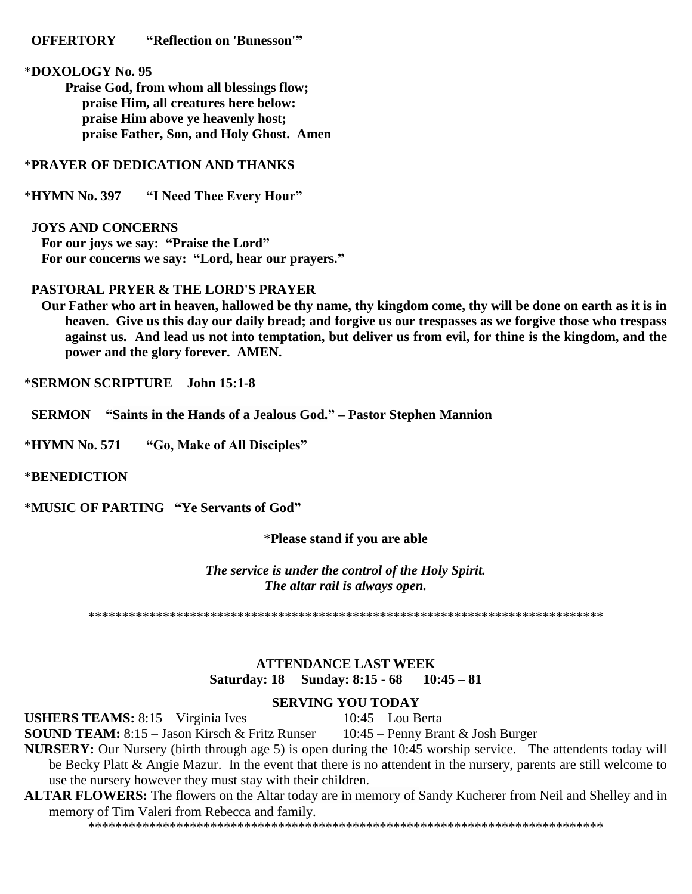#### **OFFERTORY "Reflection on 'Bunesson'"**

### \***DOXOLOGY No. 95**

**Praise God, from whom all blessings flow; praise Him, all creatures here below: praise Him above ye heavenly host; praise Father, Son, and Holy Ghost. Amen**

## \***PRAYER OF DEDICATION AND THANKS**

\***HYMN No. 397 "I Need Thee Every Hour"**

#### **JOYS AND CONCERNS**

 **For our joys we say: "Praise the Lord" For our concerns we say: "Lord, hear our prayers."**

#### **PASTORAL PRYER & THE LORD'S PRAYER**

 **Our Father who art in heaven, hallowed be thy name, thy kingdom come, thy will be done on earth as it is in heaven. Give us this day our daily bread; and forgive us our trespasses as we forgive those who trespass against us. And lead us not into temptation, but deliver us from evil, for thine is the kingdom, and the power and the glory forever. AMEN.**

\***SERMON SCRIPTURE John 15:1-8**

 **SERMON "Saints in the Hands of a Jealous God." – Pastor Stephen Mannion**

\***HYMN No. 571 "Go, Make of All Disciples"**

#### \***BENEDICTION**

\***MUSIC OF PARTING "Ye Servants of God"**

\***Please stand if you are able**

*The service is under the control of the Holy Spirit. The altar rail is always open.*

\*\*\*\*\*\*\*\*\*\*\*\*\*\*\*\*\*\*\*\*\*\*\*\*\*\*\*\*\*\*\*\*\*\*\*\*\*\*\*\*\*\*\*\*\*\*\*\*\*\*\*\*\*\*\*\*\*\*\*\*\*\*\*\*\*\*\*\*\*\*\*\*\*\*\*\*

## **ATTENDANCE LAST WEEK Saturday: 18 Sunday: 8:15 - 68 10:45 – 81**

#### **SERVING YOU TODAY**

USHERS TEAMS: 8:15 – Virginia Ives 10:45 – Lou Berta

**SOUND TEAM:** 8:15 – Jason Kirsch & Fritz Runser 10:45 – Penny Brant & Josh Burger

**NURSERY:** Our Nursery (birth through age 5) is open during the 10:45 worship service. The attendents today will be Becky Platt & Angie Mazur. In the event that there is no attendent in the nursery, parents are still welcome to use the nursery however they must stay with their children.

## **ALTAR FLOWERS:** The flowers on the Altar today are in memory of Sandy Kucherer from Neil and Shelley and in memory of Tim Valeri from Rebecca and family.

\*\*\*\*\*\*\*\*\*\*\*\*\*\*\*\*\*\*\*\*\*\*\*\*\*\*\*\*\*\*\*\*\*\*\*\*\*\*\*\*\*\*\*\*\*\*\*\*\*\*\*\*\*\*\*\*\*\*\*\*\*\*\*\*\*\*\*\*\*\*\*\*\*\*\*\*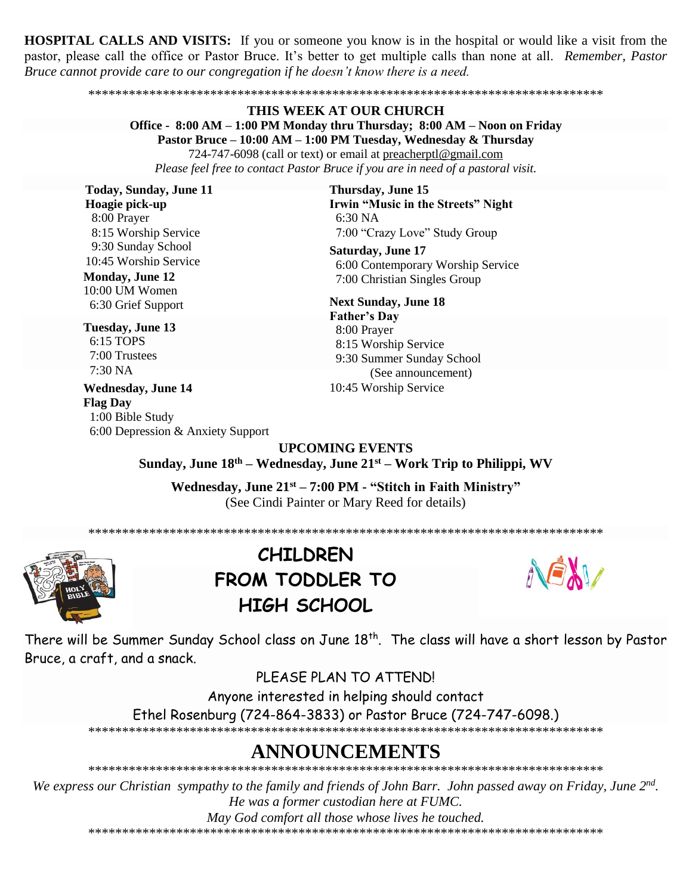**HOSPITAL CALLS AND VISITS:** If you or someone you know is in the hospital or would like a visit from the pastor, please call the office or Pastor Bruce. It's better to get multiple calls than none at all. Remember, Pastor Bruce cannot provide care to our congregation if he doesn't know there is a need.

#### THIS WEEK AT OUR CHURCH Office - 8:00 AM – 1:00 PM Monday thru Thursday; 8:00 AM – Noon on Friday Pastor Bruce – 10:00 AM – 1:00 PM Tuesday, Wednesday & Thursday 724-747-6098 (call or text) or email at preacherptl@gmail.com Please feel free to contact Pastor Bruce if you are in need of a pastoral visit.

**Today, Sunday, June 11** Hoagie pick-up 8:00 Prayer 8:15 Worship Service 9:30 Sunday School 10:45 Worship Service

**Monday, June 12** 10:00 UM Women 6:30 Grief Support

Tuesday, June 13 6:15 TOPS 7:00 Trustees  $7.30\,\mathrm{NA}$ 

**Wednesday, June 14 Flag Day** 1:00 Bible Study 6:00 Depression & Anxiety Support Thursday, June 15 Irwin "Music in the Streets" Night  $6:30\text{ NA}$ 7:00 "Crazy Love" Study Group

**Saturday, June 17** 6:00 Contemporary Worship Service 7:00 Christian Singles Group

**Next Sunday, June 18 Father's Day** 8:00 Prayer 8:15 Worship Service 9:30 Summer Sunday School (See announcement) 10:45 Worship Service

**UPCOMING EVENTS** Sunday, June 18th – Wednesday, June 21st – Work Trip to Philippi, WV

Wednesday, June 21<sup>st</sup> – 7:00 PM - "Stitch in Faith Ministry" (See Cindi Painter or Mary Reed for details)



## **CHILDREN** FROM TODDLER TO **HIGH SCHOOL**



There will be Summer Sunday School class on June 18<sup>th</sup>. The class will have a short lesson by Pastor Bruce, a craft, and a snack.

PLEASE PLAN TO ATTEND!

Anyone interested in helping should contact

Ethel Rosenburg (724-864-3833) or Pastor Bruce (724-747-6098.)

## ANNOUNCEMENTS

We express our Christian sympathy to the family and friends of John Barr. John passed away on Friday, June 2<sup>nd</sup>. He was a former custodian here at FUMC.

May God comfort all those whose lives he touched.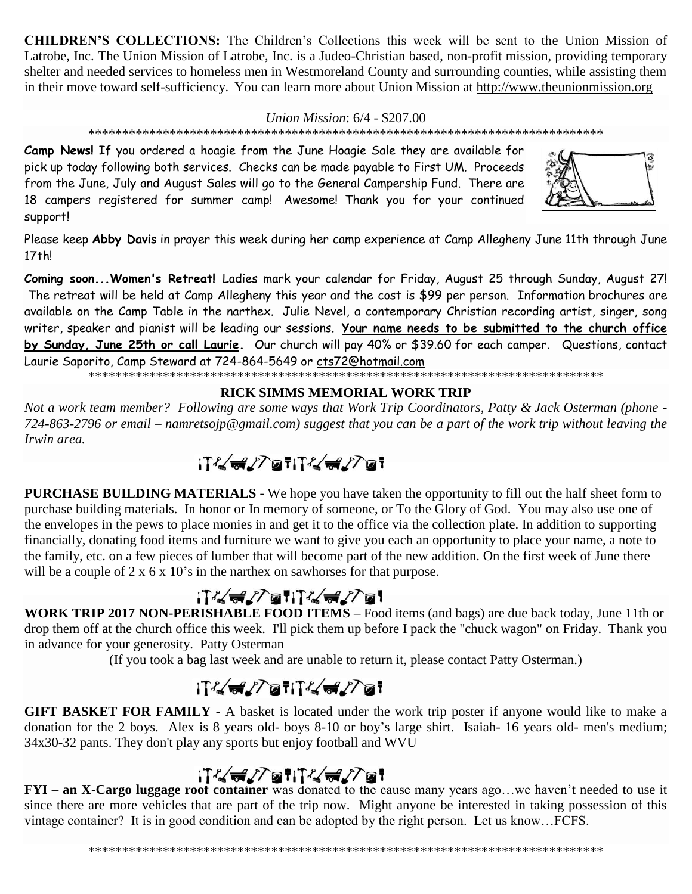**CHILDREN'S COLLECTIONS:** The Children's Collections this week will be sent to the Union Mission of Latrobe, Inc. The Union Mission of Latrobe, Inc. is a Judeo-Christian based, non-profit mission, providing temporary shelter and needed services to homeless men in Westmoreland County and surrounding counties, while assisting them in their move toward self-sufficiency. You can learn more about Union Mission at http://www.theunionmission.org

Union Mission: 6/4 - \$207.00

Camp News! If you ordered a hoagie from the June Hoagie Sale they are available for pick up today following both services. Checks can be made payable to First UM. Proceeds from the June, July and August Sales will go to the General Campership Fund. There are 18 campers registered for summer camp! Awesome! Thank you for your continued support!



Please keep Abby Davis in prayer this week during her camp experience at Camp Allegheny June 11th through June  $17th!$ 

Coming soon... Women's Retreat! Ladies mark your calendar for Friday, August 25 through Sunday, August 27! The retreat will be held at Camp Allegheny this year and the cost is \$99 per person. Information brochures are available on the Camp Table in the narthex. Julie Nevel, a contemporary Christian recording artist, singer, song writer, speaker and pianist will be leading our sessions. Your name needs to be submitted to the church office by Sunday, June 25th or call Laurie. Our church will pay 40% or \$39.60 for each camper. Questions, contact Laurie Saporito, Camp Steward at 724-864-5649 or cts72@hotmail.com

## **RICK SIMMS MEMORIAL WORK TRIP**

Not a work team member? Following are some ways that Work Trip Coordinators, Patty & Jack Osterman (phone -724-863-2796 or email – namretsojp@gmail.com) suggest that you can be a part of the work trip without leaving the Irwin area.

# $IT/472$ ati $T/472$ at

**PURCHASE BUILDING MATERIALS - We hope you have taken the opportunity to fill out the half sheet form to** purchase building materials. In honor or In memory of someone, or To the Glory of God. You may also use one of the envelopes in the pews to place monies in and get it to the office via the collection plate. In addition to supporting financially, donating food items and furniture we want to give you each an opportunity to place your name, a note to the family, etc. on a few pieces of lumber that will become part of the new addition. On the first week of June there will be a couple of  $2 \times 6 \times 10$ 's in the narthex on sawhorses for that purpose.

## 

WORK TRIP 2017 NON-PERISHABLE FOOD ITEMS – Food items (and bags) are due back today, June 11th or drop them off at the church office this week. I'll pick them up before I pack the "chuck wagon" on Friday. Thank you in advance for your generosity. Patty Osterman

(If you took a bag last week and are unable to return it, please contact Patty Osterman.)

# iT&del7@fiT&del7@f

GIFT BASKET FOR FAMILY - A basket is located under the work trip poster if anyone would like to make a donation for the 2 boys. Alex is 8 years old- boys 8-10 or boy's large shirt. Isaiah-16 years old- men's medium; 34x30-32 pants. They don't play any sports but enjoy football and WVU

## ;⊺′く<del>⋴</del>∠∕ेख†;⊺′く<del>⋴</del>∠∕ेख†

 $FYI - an X-Cargo luggage roof container was donated to the cause many years ago... we haven't needed to use it.$ since there are more vehicles that are part of the trip now. Might anyone be interested in taking possession of this vintage container? It is in good condition and can be adopted by the right person. Let us know...FCFS.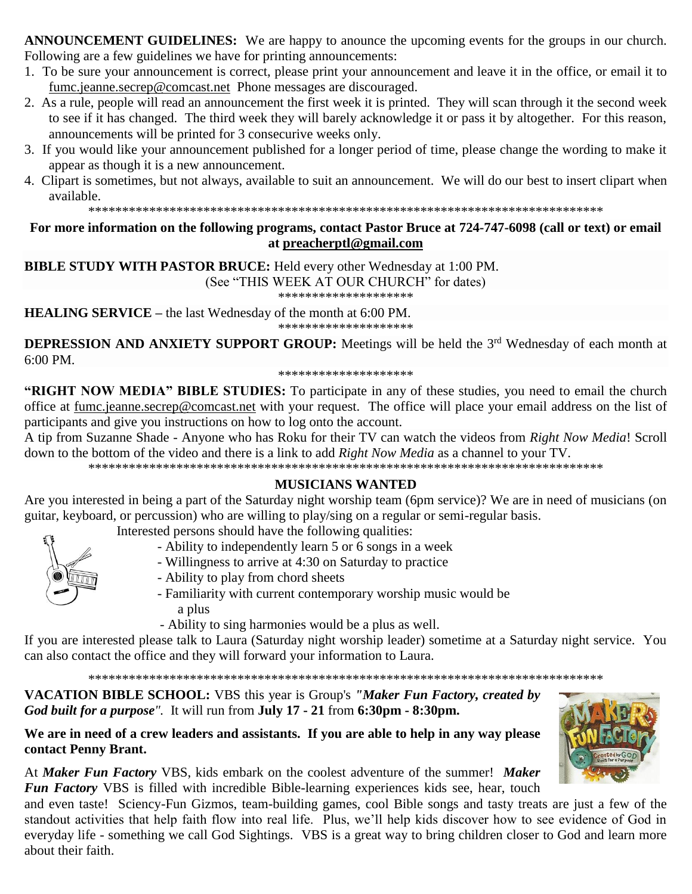**ANNOUNCEMENT GUIDELINES:** We are happy to anounce the upcoming events for the groups in our church. Following are a few guidelines we have for printing announcements:

- 1. To be sure your announcement is correct, please print your announcement and leave it in the office, or email it to [fumc.jeanne.secrep@comcast.net](mailto:fumc.jeanne.secrep@comcast.net) Phone messages are discouraged.
- 2. As a rule, people will read an announcement the first week it is printed. They will scan through it the second week to see if it has changed. The third week they will barely acknowledge it or pass it by altogether. For this reason, announcements will be printed for 3 consecurive weeks only.
- 3. If you would like your announcement published for a longer period of time, please change the wording to make it appear as though it is a new announcement.
- 4. Clipart is sometimes, but not always, available to suit an announcement. We will do our best to insert clipart when available.

\*\*\*\*\*\*\*\*\*\*\*\*\*\*\*\*\*\*\*\*\*\*\*\*\*\*\*\*\*\*\*\*\*\*\*\*\*\*\*\*\*\*\*\*\*\*\*\*\*\*\*\*\*\*\*\*\*\*\*\*\*\*\*\*\*\*\*\*\*\*\*\*\*\*\*\*

## **For more information on the following programs, contact Pastor Bruce at 724-747-6098 (call or text) or email at [preacherptl@gmail.com](mailto:preacherptl@gmail.com)**

**BIBLE STUDY WITH PASTOR BRUCE:** Held every other Wednesday at 1:00 PM. (See "THIS WEEK AT OUR CHURCH" for dates) \*\*\*\*\*\*\*\*\*\*\*\*\*\*\*\*\*\*\*\*

**HEALING SERVICE –** the last Wednesday of the month at 6:00 PM.

\*\*\*\*\*\*\*\*\*\*\*\*\*\*\*\*\*\*\*\*

**DEPRESSION AND ANXIETY SUPPORT GROUP:** Meetings will be held the 3<sup>rd</sup> Wednesday of each month at 6:00 PM.

\*\*\*\*\*\*\*\*\*\*\*\*\*\*\*\*\*\*\*\*

**"RIGHT NOW MEDIA" BIBLE STUDIES:** To participate in any of these studies, you need to email the church office at [fumc.jeanne.secrep@comcast.net](mailto:fumc.jeanne.secrep@comcast.net) with your request. The office will place your email address on the list of participants and give you instructions on how to log onto the account.

A tip from Suzanne Shade - Anyone who has Roku for their TV can watch the videos from *Right Now Media*! Scroll down to the bottom of the video and there is a link to add *Right Now Media* as a channel to your TV.

\*\*\*\*\*\*\*\*\*\*\*\*\*\*\*\*\*\*\*\*\*\*\*\*\*\*\*\*\*\*\*\*\*\*\*\*\*\*\*\*\*\*\*\*\*\*\*\*\*\*\*\*\*\*\*\*\*\*\*\*\*\*\*\*\*\*\*\*\*\*\*\*\*\*\*\*

## **MUSICIANS WANTED**

Are you interested in being a part of the Saturday night worship team (6pm service)? We are in need of musicians (on guitar, keyboard, or percussion) who are willing to play/sing on a regular or semi-regular basis.

Interested persons should have the following qualities:

- Ability to independently learn 5 or 6 songs in a week
- Willingness to arrive at 4:30 on Saturday to practice
- 
- Ability to play from chord sheets

- Familiarity with current contemporary worship music would be a plus

- Ability to sing harmonies would be a plus as well.

If you are interested please talk to Laura (Saturday night worship leader) sometime at a Saturday night service. You can also contact the office and they will forward your information to Laura.

\*\*\*\*\*\*\*\*\*\*\*\*\*\*\*\*\*\*\*\*\*\*\*\*\*\*\*\*\*\*\*\*\*\*\*\*\*\*\*\*\*\*\*\*\*\*\*\*\*\*\*\*\*\*\*\*\*\*\*\*\*\*\*\*\*\*\*\*\*\*\*\*\*\*\*\*

**VACATION BIBLE SCHOOL:** VBS this year is Group's *"Maker Fun Factory, created by God built for a purpose".* It will run from **July 17 - 21** from **6:30pm - 8:30pm.**

**We are in need of a crew leaders and assistants. If you are able to help in any way please contact Penny Brant.**

At *Maker Fun Factory* VBS, kids embark on the coolest adventure of the summer! *Maker Fun Factory* VBS is filled with incredible Bible-learning experiences kids see, hear, touch

and even taste! Sciency-Fun Gizmos, team-building games, cool Bible songs and tasty treats are just a few of the standout activities that help faith flow into real life. Plus, we'll help kids discover how to see evidence of God in everyday life - something we call God Sightings. VBS is a great way to bring children closer to God and learn more about their faith.